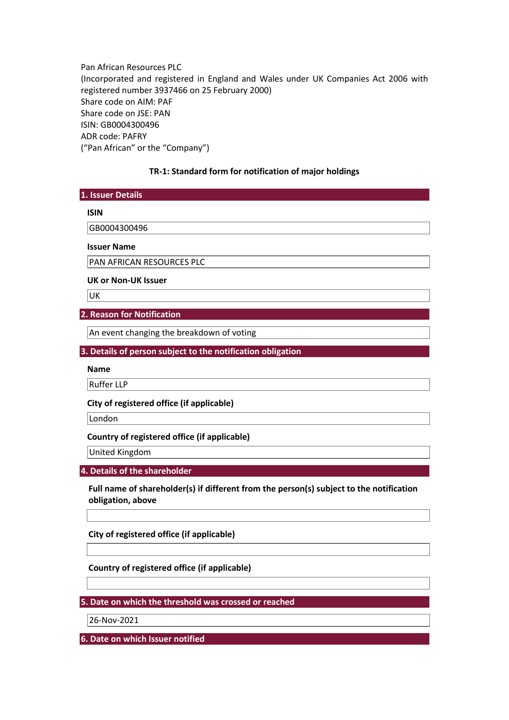Pan African Resources PLC (Incorporated and registered in England and Wales under UK Companies Act 2006 with registered number 3937466 on 25 February 2000) Share code on AIM: PAF Share code on JSE: PAN ISIN: GB0004300496 ADR code: PAFRY ("Pan African" or the "Company")

## **TR-1: Standard form for notification of major holdings**

| 1. Issuer Details |  |
|-------------------|--|
|                   |  |

#### **ISIN**

GB0004300496

#### **Issuer Name**

PAN AFRICAN RESOURCES PLC

#### **UK or Non-UK Issuer**

**UK** 

## **2. Reason for Notification**

An event changing the breakdown of voting

**3. Details of person subject to the notification obligation** 

**Name** 

Ruffer LLP

**City of registered office (if applicable)** 

London

### **Country of registered office (if applicable)**

United Kingdom

**4. Details of the shareholder** 

**Full name of shareholder(s) if different from the person(s) subject to the notification obligation, above** 

**City of registered office (if applicable)** 

**Country of registered office (if applicable)** 

**5. Date on which the threshold was crossed or reached** 

26-Nov-2021

**6. Date on which Issuer notified**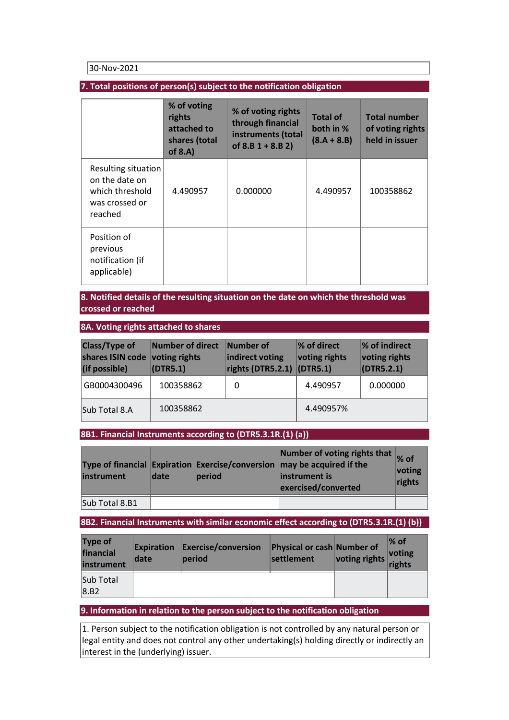30-Nov-2021

# **7. Total positions of person(s) subject to the notification obligation**

|                                                                                       | % of voting<br>rights<br>attached to<br>shares (total<br>of $8.A$ ) | % of voting rights<br>through financial<br>instruments (total<br>of $8.B 1 + 8.B 2$ | <b>Total of</b><br>both in %<br>$(8.A + 8.B)$ | <b>Total number</b><br>of voting rights<br>held in issuer |
|---------------------------------------------------------------------------------------|---------------------------------------------------------------------|-------------------------------------------------------------------------------------|-----------------------------------------------|-----------------------------------------------------------|
| Resulting situation<br>on the date on<br>which threshold<br>was crossed or<br>reached | 4.490957                                                            | 0.000000                                                                            | 4.490957                                      | 100358862                                                 |
| Position of<br>previous<br>notification (if<br>applicable)                            |                                                                     |                                                                                     |                                               |                                                           |

# **8. Notified details of the resulting situation on the date on which the threshold was crossed or reached**

## **8A. Voting rights attached to shares**

| <b>Class/Type of</b><br>shares ISIN code voting rights<br>(if possible) | Number of direct<br>(DTR5.1) | Number of<br>indirect voting<br>rights (DTR5.2.1) $ $ (DTR5.1) | $\%$ of direct<br>voting rights | % of indirect<br>voting rights<br>$\vert$ (DTR5.2.1) |
|-------------------------------------------------------------------------|------------------------------|----------------------------------------------------------------|---------------------------------|------------------------------------------------------|
| GB0004300496                                                            | 100358862                    | 0                                                              | 4.490957                        | 0.000000                                             |
| Sub Total 8.A                                                           | 100358862                    |                                                                | 4.490957%                       |                                                      |

## **8B1. Financial Instruments according to (DTR5.3.1R.(1) (a))**

| instrument     | date | period | Number of voting rights that % of<br>Type of financial Expiration Exercise/conversion may be acquired if the<br>linstrument is<br>exercised/converted | voting<br>rights |
|----------------|------|--------|-------------------------------------------------------------------------------------------------------------------------------------------------------|------------------|
| Sub Total 8.B1 |      |        |                                                                                                                                                       |                  |

# **8B2. Financial Instruments with similar economic effect according to (DTR5.3.1R.(1) (b))**

| <b>Type of</b><br>financial<br>instrument | date | <b>Expiration Exercise/conversion</b><br>period | Physical or cash Number of<br>settlement | voting rights | ∣% of<br>voting<br>rights |
|-------------------------------------------|------|-------------------------------------------------|------------------------------------------|---------------|---------------------------|
| Sub Total                                 |      |                                                 |                                          |               |                           |
| 8.B2                                      |      |                                                 |                                          |               |                           |

### **9. Information in relation to the person subject to the notification obligation**

 $\vert$ 1. Person subject to the notification obligation is not controlled by any natural person or legal entity and does not control any other undertaking(s) holding directly or indirectly an interest in the (underlying) issuer.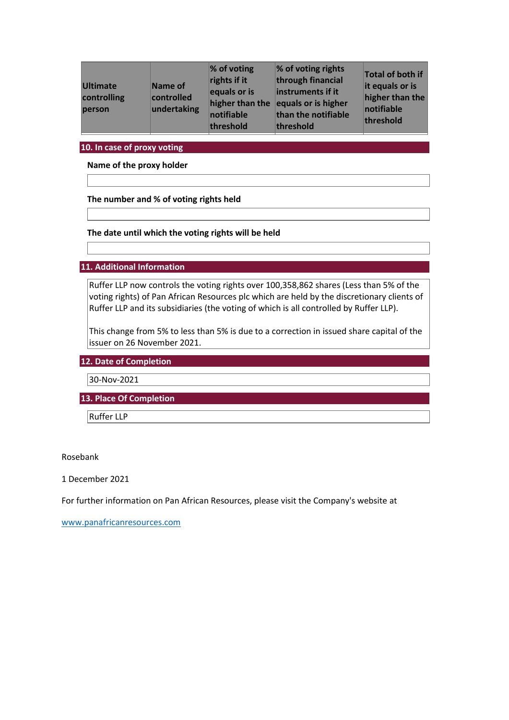| <b>Ultimate</b><br>controlling<br>person | Name of<br>controlled<br>undertaking | $%$ of voting<br>rights if it<br>equals or is<br>higher than the<br>notifiable<br>threshold | % of voting rights<br>through financial<br>instruments if it<br>equals or is higher<br>than the notifiable<br>threshold | Total of both if<br>it equals or is<br>higher than the<br>notifiable<br>threshold |
|------------------------------------------|--------------------------------------|---------------------------------------------------------------------------------------------|-------------------------------------------------------------------------------------------------------------------------|-----------------------------------------------------------------------------------|
|------------------------------------------|--------------------------------------|---------------------------------------------------------------------------------------------|-------------------------------------------------------------------------------------------------------------------------|-----------------------------------------------------------------------------------|

**10. In case of proxy voting** 

**Name of the proxy holder** 

**The number and % of voting rights held** 

**The date until which the voting rights will be held** 

**11. Additional Information** 

Ruffer LLP now controls the voting rights over 100,358,862 shares (Less than 5% of the voting rights) of Pan African Resources plc which are held by the discretionary clients of Ruffer LLP and its subsidiaries (the voting of which is all controlled by Ruffer LLP).

This change from 5% to less than 5% is due to a correction in issued share capital of the issuer on 26 November 2021.

**12. Date of Completion** 

30-Nov-2021

**13. Place Of Completion** 

Ruffer LLP

Rosebank

1 December 2021

For further information on Pan African Resources, please visit the Company's website at

[www.panafricanresources.com](http://www.panafricanresources.com/)